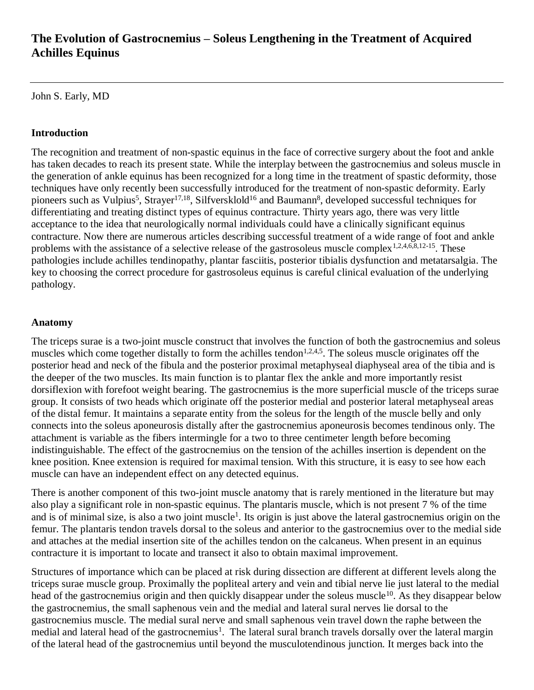# **The Evolution of Gastrocnemius – Soleus Lengthening in the Treatment of Acquired Achilles Equinus**

John S. Early, MD

### **Introduction**

The recognition and treatment of non-spastic equinus in the face of corrective surgery about the foot and ankle has taken decades to reach its present state. While the interplay between the gastrocnemius and soleus muscle in the generation of ankle equinus has been recognized for a long time in the treatment of spastic deformity, those techniques have only recently been successfully introduced for the treatment of non-spastic deformity. Early pioneers such as Vulpius<sup>5</sup>, Strayer<sup>17,18</sup>, Silfversklold<sup>16</sup> and Baumann<sup>8</sup>, developed successful techniques for differentiating and treating distinct types of equinus contracture. Thirty years ago, there was very little acceptance to the idea that neurologically normal individuals could have a clinically significant equinus contracture. Now there are numerous articles describing successful treatment of a wide range of foot and ankle problems with the assistance of a selective release of the gastrosoleus muscle complex<sup>1,2,4,6,8,12-15</sup>. These pathologies include achilles tendinopathy, plantar fasciitis, posterior tibialis dysfunction and metatarsalgia. The key to choosing the correct procedure for gastrosoleus equinus is careful clinical evaluation of the underlying pathology.

#### **Anatomy**

The triceps surae is a two-joint muscle construct that involves the function of both the gastrocnemius and soleus muscles which come together distally to form the achilles tendon<sup>1,2,4,5</sup>. The soleus muscle originates off the posterior head and neck of the fibula and the posterior proximal metaphyseal diaphyseal area of the tibia and is the deeper of the two muscles. Its main function is to plantar flex the ankle and more importantly resist dorsiflexion with forefoot weight bearing. The gastrocnemius is the more superficial muscle of the triceps surae group. It consists of two heads which originate off the posterior medial and posterior lateral metaphyseal areas of the distal femur. It maintains a separate entity from the soleus for the length of the muscle belly and only connects into the soleus aponeurosis distally after the gastrocnemius aponeurosis becomes tendinous only. The attachment is variable as the fibers intermingle for a two to three centimeter length before becoming indistinguishable. The effect of the gastrocnemius on the tension of the achilles insertion is dependent on the knee position. Knee extension is required for maximal tension. With this structure, it is easy to see how each muscle can have an independent effect on any detected equinus.

There is another component of this two-joint muscle anatomy that is rarely mentioned in the literature but may also play a significant role in non-spastic equinus. The plantaris muscle, which is not present 7 % of the time and is of minimal size, is also a two joint muscle<sup>1</sup>. Its origin is just above the lateral gastrocnemius origin on the femur. The plantaris tendon travels dorsal to the soleus and anterior to the gastrocnemius over to the medial side and attaches at the medial insertion site of the achilles tendon on the calcaneus. When present in an equinus contracture it is important to locate and transect it also to obtain maximal improvement.

Structures of importance which can be placed at risk during dissection are different at different levels along the triceps surae muscle group. Proximally the popliteal artery and vein and tibial nerve lie just lateral to the medial head of the gastrocnemius origin and then quickly disappear under the soleus muscle<sup>10</sup>. As they disappear below the gastrocnemius, the small saphenous vein and the medial and lateral sural nerves lie dorsal to the gastrocnemius muscle. The medial sural nerve and small saphenous vein travel down the raphe between the medial and lateral head of the gastrocnemius<sup>1</sup>. The lateral sural branch travels dorsally over the lateral margin of the lateral head of the gastrocnemius until beyond the musculotendinous junction. It merges back into the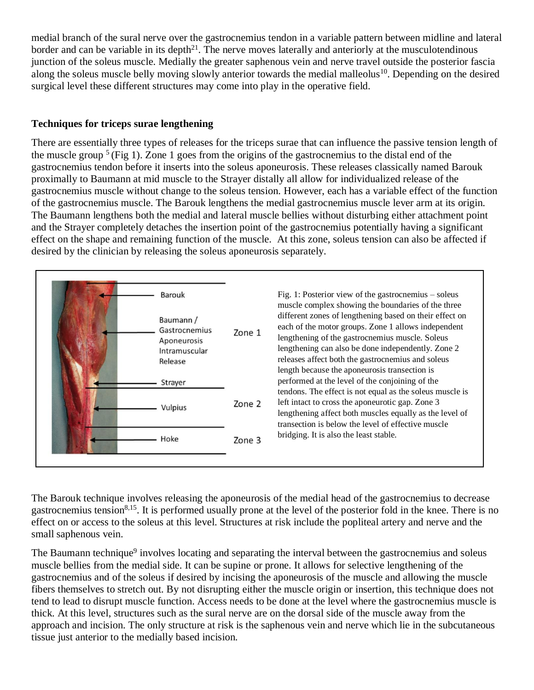medial branch of the sural nerve over the gastrocnemius tendon in a variable pattern between midline and lateral border and can be variable in its depth<sup>21</sup>. The nerve moves laterally and anteriorly at the musculotendinous junction of the soleus muscle. Medially the greater saphenous vein and nerve travel outside the posterior fascia along the soleus muscle belly moving slowly anterior towards the medial malleolus<sup>10</sup>. Depending on the desired surgical level these different structures may come into play in the operative field.

## **Techniques for triceps surae lengthening**

There are essentially three types of releases for the triceps surae that can influence the passive tension length of the muscle group  $5$  (Fig 1). Zone 1 goes from the origins of the gastrocnemius to the distal end of the gastrocnemius tendon before it inserts into the soleus aponeurosis. These releases classically named Barouk proximally to Baumann at mid muscle to the Strayer distally all allow for individualized release of the gastrocnemius muscle without change to the soleus tension. However, each has a variable effect of the function of the gastrocnemius muscle. The Barouk lengthens the medial gastrocnemius muscle lever arm at its origin. The Baumann lengthens both the medial and lateral muscle bellies without disturbing either attachment point and the Strayer completely detaches the insertion point of the gastrocnemius potentially having a significant effect on the shape and remaining function of the muscle. At this zone, soleus tension can also be affected if desired by the clinician by releasing the soleus aponeurosis separately.

|  | Barouk<br>Baumann /<br>Gastrocnemius<br>Aponeurosis<br>Intramuscular<br>Release | Zone 1 | Fig. 1: Posterior view of the gastrocnemius $-$ soleus<br>muscle complex showing the boundaries of the three<br>different zones of lengthening based on their effect on<br>each of the motor groups. Zone 1 allows independent<br>lengthening of the gastrocnemius muscle. Soleus<br>lengthening can also be done independently. Zone 2<br>releases affect both the gastrocnemius and soleus<br>length because the aponeurosis transection is<br>performed at the level of the conjoining of the<br>tendons. The effect is not equal as the soleus muscle is<br>left intact to cross the aponeurotic gap. Zone 3<br>Zone 2<br>lengthening affect both muscles equally as the level of<br>transection is below the level of effective muscle<br>bridging. It is also the least stable.<br>Zone 3 |
|--|---------------------------------------------------------------------------------|--------|-------------------------------------------------------------------------------------------------------------------------------------------------------------------------------------------------------------------------------------------------------------------------------------------------------------------------------------------------------------------------------------------------------------------------------------------------------------------------------------------------------------------------------------------------------------------------------------------------------------------------------------------------------------------------------------------------------------------------------------------------------------------------------------------------|
|  | Strayer<br>Vulpius                                                              |        |                                                                                                                                                                                                                                                                                                                                                                                                                                                                                                                                                                                                                                                                                                                                                                                                 |
|  | Hoke                                                                            |        |                                                                                                                                                                                                                                                                                                                                                                                                                                                                                                                                                                                                                                                                                                                                                                                                 |

The Barouk technique involves releasing the aponeurosis of the medial head of the gastrocnemius to decrease gastrocnemius tension<sup>8,15</sup>. It is performed usually prone at the level of the posterior fold in the knee. There is no effect on or access to the soleus at this level. Structures at risk include the popliteal artery and nerve and the small saphenous vein.

The Baumann technique<sup>9</sup> involves locating and separating the interval between the gastrocnemius and soleus muscle bellies from the medial side. It can be supine or prone. It allows for selective lengthening of the gastrocnemius and of the soleus if desired by incising the aponeurosis of the muscle and allowing the muscle fibers themselves to stretch out. By not disrupting either the muscle origin or insertion, this technique does not tend to lead to disrupt muscle function. Access needs to be done at the level where the gastrocnemius muscle is thick. At this level, structures such as the sural nerve are on the dorsal side of the muscle away from the approach and incision. The only structure at risk is the saphenous vein and nerve which lie in the subcutaneous tissue just anterior to the medially based incision.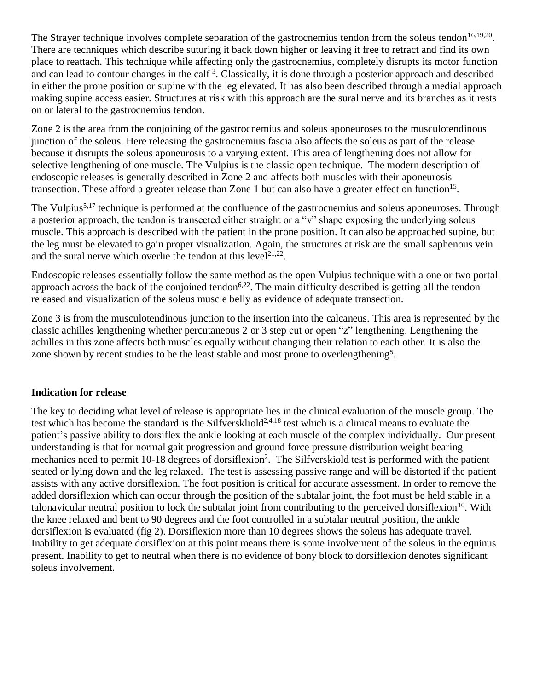The Strayer technique involves complete separation of the gastrocnemius tendon from the soleus tendon<sup>16,19,20</sup>. There are techniques which describe suturing it back down higher or leaving it free to retract and find its own place to reattach. This technique while affecting only the gastrocnemius, completely disrupts its motor function and can lead to contour changes in the calf<sup>3</sup>. Classically, it is done through a posterior approach and described in either the prone position or supine with the leg elevated. It has also been described through a medial approach making supine access easier. Structures at risk with this approach are the sural nerve and its branches as it rests on or lateral to the gastrocnemius tendon.

Zone 2 is the area from the conjoining of the gastrocnemius and soleus aponeuroses to the musculotendinous junction of the soleus. Here releasing the gastrocnemius fascia also affects the soleus as part of the release because it disrupts the soleus aponeurosis to a varying extent. This area of lengthening does not allow for selective lengthening of one muscle. The Vulpius is the classic open technique. The modern description of endoscopic releases is generally described in Zone 2 and affects both muscles with their aponeurosis transection. These afford a greater release than Zone 1 but can also have a greater effect on function<sup>15</sup>.

The Vulpius<sup>5,17</sup> technique is performed at the confluence of the gastrocnemius and soleus aponeuroses. Through a posterior approach, the tendon is transected either straight or a "v" shape exposing the underlying soleus muscle. This approach is described with the patient in the prone position. It can also be approached supine, but the leg must be elevated to gain proper visualization. Again, the structures at risk are the small saphenous vein and the sural nerve which overlie the tendon at this  $level<sup>21,22</sup>$ .

Endoscopic releases essentially follow the same method as the open Vulpius technique with a one or two portal approach across the back of the conjoined tendon<sup>6,22</sup>. The main difficulty described is getting all the tendon released and visualization of the soleus muscle belly as evidence of adequate transection.

Zone 3 is from the musculotendinous junction to the insertion into the calcaneus. This area is represented by the classic achilles lengthening whether percutaneous 2 or 3 step cut or open "z" lengthening. Lengthening the achilles in this zone affects both muscles equally without changing their relation to each other. It is also the zone shown by recent studies to be the least stable and most prone to overlengthening<sup>5</sup>.

### **Indication for release**

The key to deciding what level of release is appropriate lies in the clinical evaluation of the muscle group. The test which has become the standard is the Silfverskliold<sup>2,4,18</sup> test which is a clinical means to evaluate the patient's passive ability to dorsiflex the ankle looking at each muscle of the complex individually. Our present understanding is that for normal gait progression and ground force pressure distribution weight bearing mechanics need to permit 10-18 degrees of dorsiflexion<sup>2</sup>. The Silfverskiold test is performed with the patient seated or lying down and the leg relaxed. The test is assessing passive range and will be distorted if the patient assists with any active dorsiflexion. The foot position is critical for accurate assessment. In order to remove the added dorsiflexion which can occur through the position of the subtalar joint, the foot must be held stable in a talonavicular neutral position to lock the subtalar joint from contributing to the perceived dorsiflexion<sup>10</sup>. With the knee relaxed and bent to 90 degrees and the foot controlled in a subtalar neutral position, the ankle dorsiflexion is evaluated (fig 2). Dorsiflexion more than 10 degrees shows the soleus has adequate travel. Inability to get adequate dorsiflexion at this point means there is some involvement of the soleus in the equinus present. Inability to get to neutral when there is no evidence of bony block to dorsiflexion denotes significant soleus involvement.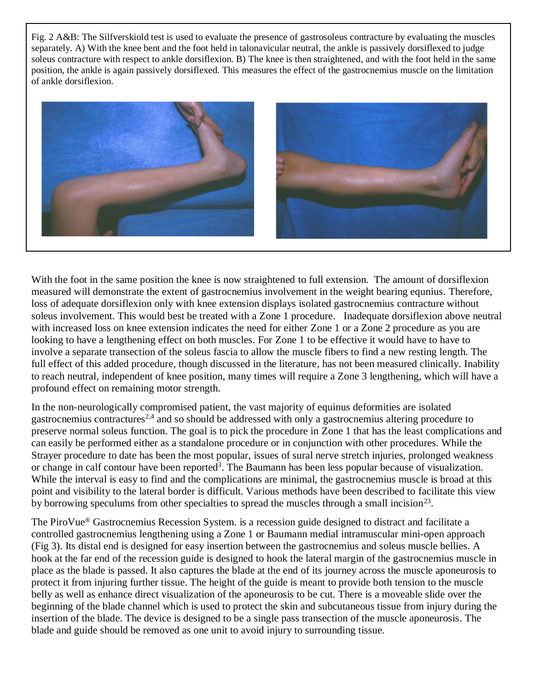Fig. 2 A&B: The Silfverskiold test is used to evaluate the presence of gastrosoleus contracture by evaluating the muscles separately. A) With the knee bent and the foot held in talonavicular neutral, the ankle is passively dorsiflexed to judge soleus contracture with respect to ankle dorsiflexion. B) The knee is then straightened, and with the foot held in the same position, the ankle is again passively dorsiflexed. This measures the effect of the gastrocnemius muscle on the limitation of ankle dorsiflexion.



With the foot in the same position the knee is now straightened to full extension. The amount of dorsiflexion measured will demonstrate the extent of gastrocnemius involvement in the weight bearing equnius. Therefore, loss of adequate dorsiflexion only with knee extension displays isolated gastrocnemius contracture without soleus involvement. This would best be treated with a Zone 1 procedure. Inadequate dorsiflexion above neutral with increased loss on knee extension indicates the need for either Zone 1 or a Zone 2 procedure as you are looking to have a lengthening effect on both muscles. For Zone 1 to be effective it would have to have to involve a separate transection of the soleus fascia to allow the muscle fibers to find a new resting length. The full effect of this added procedure, though discussed in the literature, has not been measured clinically. Inability to reach neutral, independent of knee position, many times will require a Zone 3 lengthening, which will have a profound effect on remaining motor strength.

In the non-neurologically compromised patient, the vast majority of equinus deformities are isolated gastrocnemius contractures<sup>2,4</sup> and so should be addressed with only a gastrocnemius altering procedure to preserve normal soleus function. The goal is to pick the procedure in Zone 1 that has the least complications and can easily be performed either as a standalone procedure or in conjunction with other procedures. While the Strayer procedure to date has been the most popular, issues of sural nerve stretch injuries, prolonged weakness or change in calf contour have been reported<sup>3</sup>. The Baumann has been less popular because of visualization. While the interval is easy to find and the complications are minimal, the gastrocnemius muscle is broad at this point and visibility to the lateral border is difficult. Various methods have been described to facilitate this view by borrowing speculums from other specialties to spread the muscles through a small incision<sup>23</sup>.

The PiroVue® Gastrocnemius Recession System. is a recession guide designed to distract and facilitate a controlled gastrocnemius lengthening using a Zone 1 or Baumann medial intramuscular mini-open approach (Fig 3). Its distal end is designed for easy insertion between the gastrocnemius and soleus muscle bellies. A hook at the far end of the recession guide is designed to hook the lateral margin of the gastrocnemius muscle in place as the blade is passed. It also captures the blade at the end of its journey across the muscle aponeurosis to protect it from injuring further tissue. The height of the guide is meant to provide both tension to the muscle belly as well as enhance direct visualization of the aponeurosis to be cut. There is a moveable slide over the beginning of the blade channel which is used to protect the skin and subcutaneous tissue from injury during the insertion of the blade. The device is designed to be a single pass transection of the muscle aponeurosis. The blade and guide should be removed as one unit to avoid injury to surrounding tissue.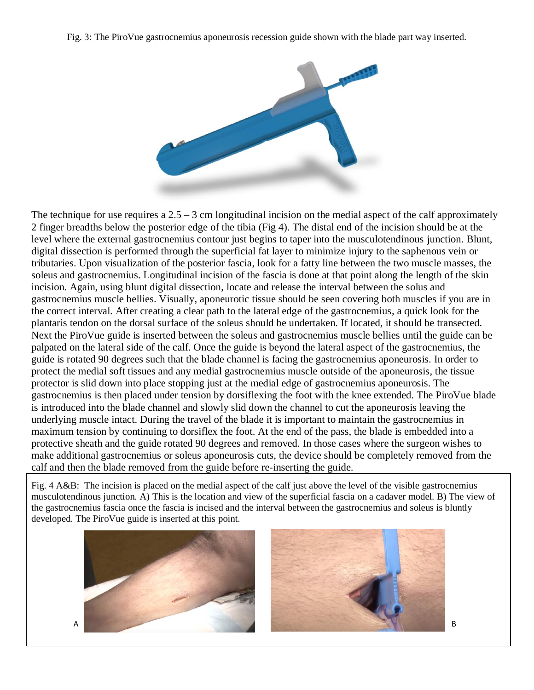Fig. 3: The PiroVue gastrocnemius aponeurosis recession guide shown with the blade part way inserted.



The technique for use requires a  $2.5 - 3$  cm longitudinal incision on the medial aspect of the calf approximately 2 finger breadths below the posterior edge of the tibia (Fig 4). The distal end of the incision should be at the level where the external gastrocnemius contour just begins to taper into the musculotendinous junction. Blunt, digital dissection is performed through the superficial fat layer to minimize injury to the saphenous vein or tributaries. Upon visualization of the posterior fascia, look for a fatty line between the two muscle masses, the soleus and gastrocnemius. Longitudinal incision of the fascia is done at that point along the length of the skin incision. Again, using blunt digital dissection, locate and release the interval between the solus and gastrocnemius muscle bellies. Visually, aponeurotic tissue should be seen covering both muscles if you are in the correct interval. After creating a clear path to the lateral edge of the gastrocnemius, a quick look for the plantaris tendon on the dorsal surface of the soleus should be undertaken. If located, it should be transected. Next the PiroVue guide is inserted between the soleus and gastrocnemius muscle bellies until the guide can be palpated on the lateral side of the calf. Once the guide is beyond the lateral aspect of the gastrocnemius, the guide is rotated 90 degrees such that the blade channel is facing the gastrocnemius aponeurosis. In order to protect the medial soft tissues and any medial gastrocnemius muscle outside of the aponeurosis, the tissue protector is slid down into place stopping just at the medial edge of gastrocnemius aponeurosis. The gastrocnemius is then placed under tension by dorsiflexing the foot with the knee extended. The PiroVue blade is introduced into the blade channel and slowly slid down the channel to cut the aponeurosis leaving the underlying muscle intact. During the travel of the blade it is important to maintain the gastrocnemius in maximum tension by continuing to dorsiflex the foot. At the end of the pass, the blade is embedded into a protective sheath and the guide rotated 90 degrees and removed. In those cases where the surgeon wishes to make additional gastrocnemius or soleus aponeurosis cuts, the device should be completely removed from the calf and then the blade removed from the guide before re-inserting the guide.

Fig. 4 A&B: The incision is placed on the medial aspect of the calf just above the level of the visible gastrocnemius musculotendinous junction. A) This is the location and view of the superficial fascia on a cadaver model. B) The view of the gastrocnemius fascia once the fascia is incised and the interval between the gastrocnemius and soleus is bluntly developed. The PiroVue guide is inserted at this point.

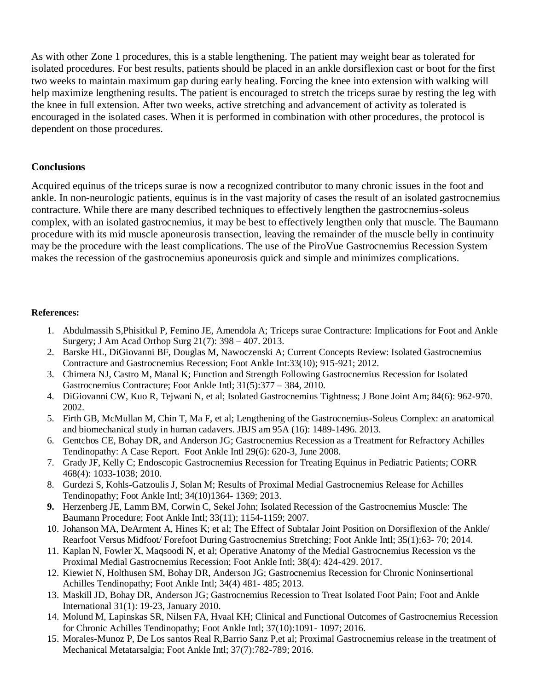As with other Zone 1 procedures, this is a stable lengthening. The patient may weight bear as tolerated for isolated procedures. For best results, patients should be placed in an ankle dorsiflexion cast or boot for the first two weeks to maintain maximum gap during early healing. Forcing the knee into extension with walking will help maximize lengthening results. The patient is encouraged to stretch the triceps surae by resting the leg with the knee in full extension. After two weeks, active stretching and advancement of activity as tolerated is encouraged in the isolated cases. When it is performed in combination with other procedures, the protocol is dependent on those procedures.

#### **Conclusions**

Acquired equinus of the triceps surae is now a recognized contributor to many chronic issues in the foot and ankle. In non-neurologic patients, equinus is in the vast majority of cases the result of an isolated gastrocnemius contracture. While there are many described techniques to effectively lengthen the gastrocnemius-soleus complex, with an isolated gastrocnemius, it may be best to effectively lengthen only that muscle. The Baumann procedure with its mid muscle aponeurosis transection, leaving the remainder of the muscle belly in continuity may be the procedure with the least complications. The use of the PiroVue Gastrocnemius Recession System makes the recession of the gastrocnemius aponeurosis quick and simple and minimizes complications.

#### **References:**

- 1. Abdulmassih S,Phisitkul P, Femino JE, Amendola A; Triceps surae Contracture: Implications for Foot and Ankle Surgery; J Am Acad Orthop Surg 21(7): 398 – 407. 2013.
- 2. Barske HL, DiGiovanni BF, Douglas M, Nawoczenski A; Current Concepts Review: Isolated Gastrocnemius Contracture and Gastrocnemius Recession; Foot Ankle Int:33(10); 915-921; 2012.
- 3. Chimera NJ, Castro M, Manal K; Function and Strength Following Gastrocnemius Recession for Isolated Gastrocnemius Contracture; Foot Ankle Intl; 31(5):377 – 384, 2010.
- 4. DiGiovanni CW, Kuo R, Tejwani N, et al; Isolated Gastrocnemius Tightness; J Bone Joint Am; 84(6): 962-970. 2002.
- 5. Firth GB, McMullan M, Chin T, Ma F, et al; Lengthening of the Gastrocnemius-Soleus Complex: an anatomical and biomechanical study in human cadavers. JBJS am 95A (16): 1489-1496. 2013.
- 6. Gentchos CE, Bohay DR, and Anderson JG; Gastrocnemius Recession as a Treatment for Refractory Achilles Tendinopathy: A Case Report. Foot Ankle Intl 29(6): 620-3, June 2008.
- 7. Grady JF, Kelly C; Endoscopic Gastrocnemius Recession for Treating Equinus in Pediatric Patients; CORR 468(4): 1033-1038; 2010.
- 8. Gurdezi S, Kohls-Gatzoulis J, Solan M; Results of Proximal Medial Gastrocnemius Release for Achilles Tendinopathy; Foot Ankle Intl; 34(10)1364- 1369; 2013.
- **9.** Herzenberg JE, Lamm BM, Corwin C, Sekel John; Isolated Recession of the Gastrocnemius Muscle: The Baumann Procedure; Foot Ankle Intl; 33(11); 1154-1159; 2007.
- 10. Johanson MA, DeArment A, Hines K; et al; The Effect of Subtalar Joint Position on Dorsiflexion of the Ankle/ Rearfoot Versus Midfoot/ Forefoot During Gastrocnemius Stretching; Foot Ankle Intl; 35(1);63- 70; 2014.
- 11. Kaplan N, Fowler X, Maqsoodi N, et al; Operative Anatomy of the Medial Gastrocnemius Recession vs the Proximal Medial Gastrocnemius Recession; Foot Ankle Intl; 38(4): 424-429. 2017.
- 12. Kiewiet N, Holthusen SM, Bohay DR, Anderson JG; Gastrocnemius Recession for Chronic Noninsertional Achilles Tendinopathy; Foot Ankle Intl; 34(4) 481- 485; 2013.
- 13. Maskill JD, Bohay DR, Anderson JG; Gastrocnemius Recession to Treat Isolated Foot Pain; Foot and Ankle International 31(1): 19-23, January 2010.
- 14. Molund M, Lapinskas SR, Nilsen FA, Hvaal KH; Clinical and Functional Outcomes of Gastrocnemius Recession for Chronic Achilles Tendinopathy; Foot Ankle Intl; 37(10):1091- 1097; 2016.
- 15. Morales-Munoz P, De Los santos Real R,Barrio Sanz P,et al; Proximal Gastrocnemius release in the treatment of Mechanical Metatarsalgia; Foot Ankle Intl; 37(7):782-789; 2016.